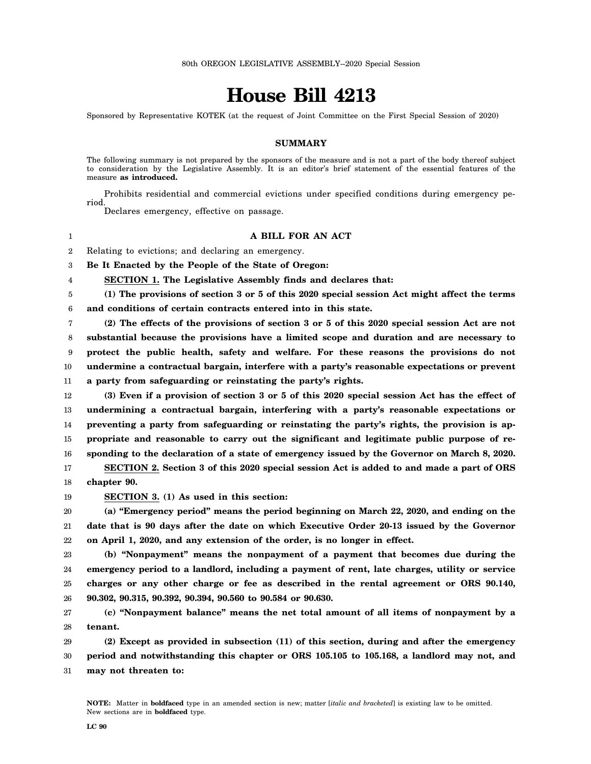# **House Bill 4213**

Sponsored by Representative KOTEK (at the request of Joint Committee on the First Special Session of 2020)

## **SUMMARY**

The following summary is not prepared by the sponsors of the measure and is not a part of the body thereof subject to consideration by the Legislative Assembly. It is an editor's brief statement of the essential features of the measure **as introduced.**

Prohibits residential and commercial evictions under specified conditions during emergency period.

Declares emergency, effective on passage.

#### **A BILL FOR AN ACT**

2 Relating to evictions; and declaring an emergency.

3 **Be It Enacted by the People of the State of Oregon:**

**SECTION 1. The Legislative Assembly finds and declares that:**

5 6 **(1) The provisions of section 3 or 5 of this 2020 special session Act might affect the terms and conditions of certain contracts entered into in this state.**

7 8 9 10 11 **(2) The effects of the provisions of section 3 or 5 of this 2020 special session Act are not substantial because the provisions have a limited scope and duration and are necessary to protect the public health, safety and welfare. For these reasons the provisions do not undermine a contractual bargain, interfere with a party's reasonable expectations or prevent a party from safeguarding or reinstating the party's rights.**

12 13 14 15 16 **(3) Even if a provision of section 3 or 5 of this 2020 special session Act has the effect of undermining a contractual bargain, interfering with a party's reasonable expectations or preventing a party from safeguarding or reinstating the party's rights, the provision is appropriate and reasonable to carry out the significant and legitimate public purpose of responding to the declaration of a state of emergency issued by the Governor on March 8, 2020.**

17 18 **SECTION 2. Section 3 of this 2020 special session Act is added to and made a part of ORS chapter 90.**

19 **SECTION 3. (1) As used in this section:**

1

4

20 21 22 **(a) "Emergency period" means the period beginning on March 22, 2020, and ending on the date that is 90 days after the date on which Executive Order 20-13 issued by the Governor on April 1, 2020, and any extension of the order, is no longer in effect.**

23 24 25 26 **(b) "Nonpayment" means the nonpayment of a payment that becomes due during the emergency period to a landlord, including a payment of rent, late charges, utility or service charges or any other charge or fee as described in the rental agreement or ORS 90.140, 90.302, 90.315, 90.392, 90.394, 90.560 to 90.584 or 90.630.**

27 28 **(c) "Nonpayment balance" means the net total amount of all items of nonpayment by a tenant.**

29 30 31 **(2) Except as provided in subsection (11) of this section, during and after the emergency period and notwithstanding this chapter or ORS 105.105 to 105.168, a landlord may not, and may not threaten to:**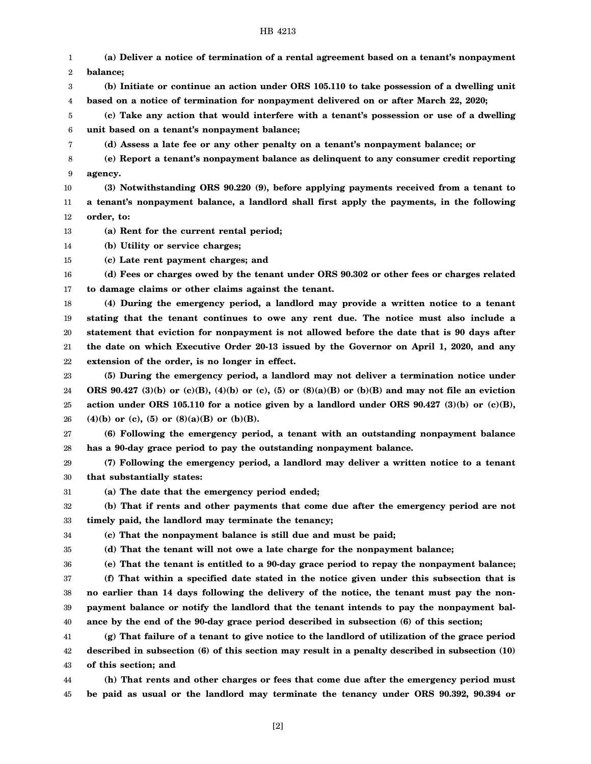## HB 4213

1 2 3 4 5 6 7 8 9 10 11 12 13 14 15 16 17 18 19 20 21 22 23 24 25 26 27 28 29 30 31 32 33 34 35 36 37 38 39 40 41 42 43 44 **(a) Deliver a notice of termination of a rental agreement based on a tenant's nonpayment balance; (b) Initiate or continue an action under ORS 105.110 to take possession of a dwelling unit based on a notice of termination for nonpayment delivered on or after March 22, 2020; (c) Take any action that would interfere with a tenant's possession or use of a dwelling unit based on a tenant's nonpayment balance; (d) Assess a late fee or any other penalty on a tenant's nonpayment balance; or (e) Report a tenant's nonpayment balance as delinquent to any consumer credit reporting agency. (3) Notwithstanding ORS 90.220 (9), before applying payments received from a tenant to a tenant's nonpayment balance, a landlord shall first apply the payments, in the following order, to: (a) Rent for the current rental period; (b) Utility or service charges; (c) Late rent payment charges; and (d) Fees or charges owed by the tenant under ORS 90.302 or other fees or charges related to damage claims or other claims against the tenant. (4) During the emergency period, a landlord may provide a written notice to a tenant stating that the tenant continues to owe any rent due. The notice must also include a statement that eviction for nonpayment is not allowed before the date that is 90 days after the date on which Executive Order 20-13 issued by the Governor on April 1, 2020, and any extension of the order, is no longer in effect. (5) During the emergency period, a landlord may not deliver a termination notice under ORS 90.427 (3)(b) or (c)(B), (4)(b) or (c), (5) or (8)(a)(B) or (b)(B) and may not file an eviction action under ORS 105.110 for a notice given by a landlord under ORS 90.427 (3)(b) or (c)(B), (4)(b) or (c), (5) or (8)(a)(B) or (b)(B). (6) Following the emergency period, a tenant with an outstanding nonpayment balance has a 90-day grace period to pay the outstanding nonpayment balance. (7) Following the emergency period, a landlord may deliver a written notice to a tenant that substantially states: (a) The date that the emergency period ended; (b) That if rents and other payments that come due after the emergency period are not timely paid, the landlord may terminate the tenancy; (c) That the nonpayment balance is still due and must be paid; (d) That the tenant will not owe a late charge for the nonpayment balance; (e) That the tenant is entitled to a 90-day grace period to repay the nonpayment balance; (f) That within a specified date stated in the notice given under this subsection that is no earlier than 14 days following the delivery of the notice, the tenant must pay the nonpayment balance or notify the landlord that the tenant intends to pay the nonpayment balance by the end of the 90-day grace period described in subsection (6) of this section; (g) That failure of a tenant to give notice to the landlord of utilization of the grace period described in subsection (6) of this section may result in a penalty described in subsection (10) of this section; and (h) That rents and other charges or fees that come due after the emergency period must**

45 **be paid as usual or the landlord may terminate the tenancy under ORS 90.392, 90.394 or**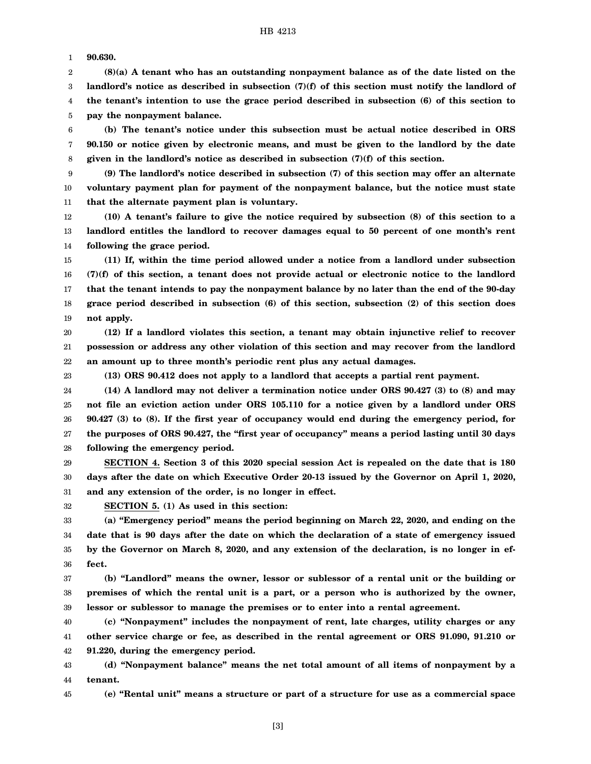1 **90.630.**

2 3 4 5 **(8)(a) A tenant who has an outstanding nonpayment balance as of the date listed on the landlord's notice as described in subsection (7)(f) of this section must notify the landlord of the tenant's intention to use the grace period described in subsection (6) of this section to pay the nonpayment balance.**

6 7 8 **(b) The tenant's notice under this subsection must be actual notice described in ORS 90.150 or notice given by electronic means, and must be given to the landlord by the date given in the landlord's notice as described in subsection (7)(f) of this section.**

9 10 11 **(9) The landlord's notice described in subsection (7) of this section may offer an alternate voluntary payment plan for payment of the nonpayment balance, but the notice must state that the alternate payment plan is voluntary.**

12 13 14 **(10) A tenant's failure to give the notice required by subsection (8) of this section to a landlord entitles the landlord to recover damages equal to 50 percent of one month's rent following the grace period.**

15 16 17 18 19 **(11) If, within the time period allowed under a notice from a landlord under subsection (7)(f) of this section, a tenant does not provide actual or electronic notice to the landlord that the tenant intends to pay the nonpayment balance by no later than the end of the 90-day grace period described in subsection (6) of this section, subsection (2) of this section does not apply.**

20 21 22 **(12) If a landlord violates this section, a tenant may obtain injunctive relief to recover possession or address any other violation of this section and may recover from the landlord an amount up to three month's periodic rent plus any actual damages.**

23

**(13) ORS 90.412 does not apply to a landlord that accepts a partial rent payment.**

24 25 26 27 28 **(14) A landlord may not deliver a termination notice under ORS 90.427 (3) to (8) and may not file an eviction action under ORS 105.110 for a notice given by a landlord under ORS 90.427 (3) to (8). If the first year of occupancy would end during the emergency period, for the purposes of ORS 90.427, the "first year of occupancy" means a period lasting until 30 days following the emergency period.**

29 30 31 **SECTION 4. Section 3 of this 2020 special session Act is repealed on the date that is 180 days after the date on which Executive Order 20-13 issued by the Governor on April 1, 2020, and any extension of the order, is no longer in effect.**

32

**SECTION 5. (1) As used in this section:**

33 34 35 36 **(a) "Emergency period" means the period beginning on March 22, 2020, and ending on the date that is 90 days after the date on which the declaration of a state of emergency issued by the Governor on March 8, 2020, and any extension of the declaration, is no longer in effect.**

37 38 39 **(b) "Landlord" means the owner, lessor or sublessor of a rental unit or the building or premises of which the rental unit is a part, or a person who is authorized by the owner, lessor or sublessor to manage the premises or to enter into a rental agreement.**

40 41 42 **(c) "Nonpayment" includes the nonpayment of rent, late charges, utility charges or any other service charge or fee, as described in the rental agreement or ORS 91.090, 91.210 or 91.220, during the emergency period.**

43 44 **(d) "Nonpayment balance" means the net total amount of all items of nonpayment by a tenant.**

45 **(e) "Rental unit" means a structure or part of a structure for use as a commercial space**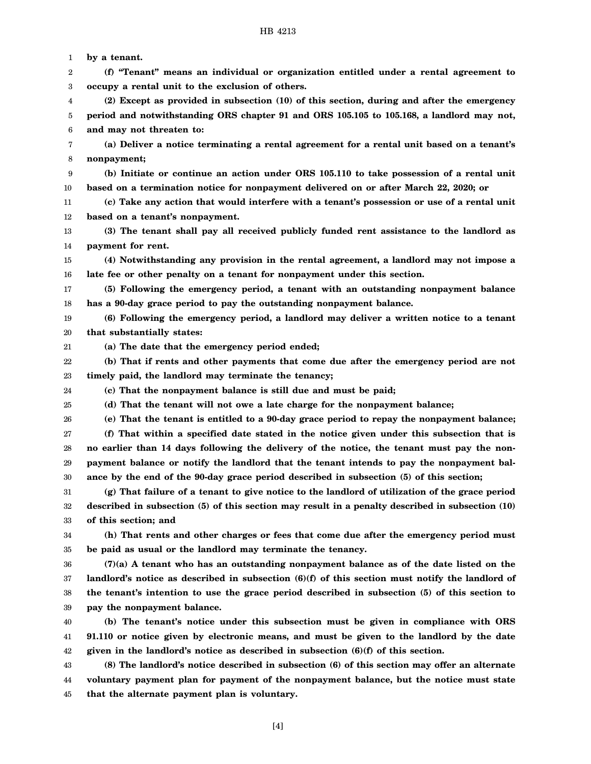1 2 3 4 5 6 7 8 9 10 11 12 13 14 15 16 17 18 19 20 21 22 23 24 25 26 27 28 29 30 31 32 33 34 35 36 37 38 39 40 41 42 43 44 45 **by a tenant. (f) "Tenant" means an individual or organization entitled under a rental agreement to occupy a rental unit to the exclusion of others. (2) Except as provided in subsection (10) of this section, during and after the emergency period and notwithstanding ORS chapter 91 and ORS 105.105 to 105.168, a landlord may not, and may not threaten to: (a) Deliver a notice terminating a rental agreement for a rental unit based on a tenant's nonpayment; (b) Initiate or continue an action under ORS 105.110 to take possession of a rental unit based on a termination notice for nonpayment delivered on or after March 22, 2020; or (c) Take any action that would interfere with a tenant's possession or use of a rental unit based on a tenant's nonpayment. (3) The tenant shall pay all received publicly funded rent assistance to the landlord as payment for rent. (4) Notwithstanding any provision in the rental agreement, a landlord may not impose a late fee or other penalty on a tenant for nonpayment under this section. (5) Following the emergency period, a tenant with an outstanding nonpayment balance has a 90-day grace period to pay the outstanding nonpayment balance. (6) Following the emergency period, a landlord may deliver a written notice to a tenant that substantially states: (a) The date that the emergency period ended; (b) That if rents and other payments that come due after the emergency period are not timely paid, the landlord may terminate the tenancy; (c) That the nonpayment balance is still due and must be paid; (d) That the tenant will not owe a late charge for the nonpayment balance; (e) That the tenant is entitled to a 90-day grace period to repay the nonpayment balance; (f) That within a specified date stated in the notice given under this subsection that is no earlier than 14 days following the delivery of the notice, the tenant must pay the nonpayment balance or notify the landlord that the tenant intends to pay the nonpayment balance by the end of the 90-day grace period described in subsection (5) of this section; (g) That failure of a tenant to give notice to the landlord of utilization of the grace period described in subsection (5) of this section may result in a penalty described in subsection (10) of this section; and (h) That rents and other charges or fees that come due after the emergency period must be paid as usual or the landlord may terminate the tenancy. (7)(a) A tenant who has an outstanding nonpayment balance as of the date listed on the landlord's notice as described in subsection (6)(f) of this section must notify the landlord of the tenant's intention to use the grace period described in subsection (5) of this section to pay the nonpayment balance. (b) The tenant's notice under this subsection must be given in compliance with ORS 91.110 or notice given by electronic means, and must be given to the landlord by the date given in the landlord's notice as described in subsection (6)(f) of this section. (8) The landlord's notice described in subsection (6) of this section may offer an alternate voluntary payment plan for payment of the nonpayment balance, but the notice must state that the alternate payment plan is voluntary.**